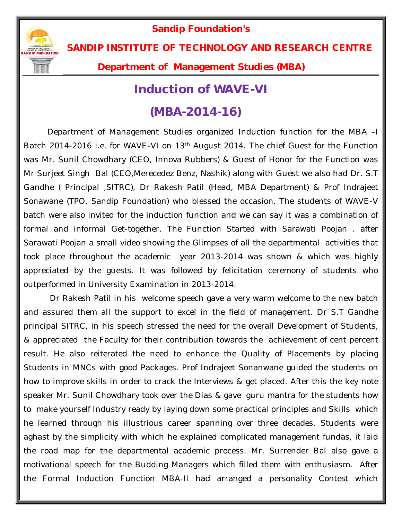**Sandip Foundation's** 



**SANDIP INSTITUTE OF TECHNOLOGY AND RESEARCH CENTRE** 

**Department of Management Studies (MBA)**

## **Induction of WAVE-VI**

## **(MBA-2014-16)**

Department of Management Studies organized Induction function for the MBA –I Batch 2014-2016 i.e. for WAVE-VI on 13th August 2014. The chief Guest for the Function was Mr. Sunil Chowdhary (CEO, Innova Rubbers) & Guest of Honor for the Function was Mr Surjeet Singh Bal (CEO,Merecedez Benz, Nashik) along with Guest we also had Dr. S.T Gandhe ( Principal ,SITRC), Dr Rakesh Patil (Head, MBA Department) & Prof Indrajeet Sonawane (TPO, Sandip Foundation) who blessed the occasion. The students of WAVE-V batch were also invited for the induction function and we can say it was a combination of formal and informal Get-together. The Function Started with Sarawati Poojan . after Sarawati Poojan a small video showing the Glimpses of all the departmental activities that took place throughout the academic year 2013-2014 was shown & which was highly appreciated by the guests. It was followed by felicitation ceremony of students who outperformed in University Examination in 2013-2014.

Dr Rakesh Patil in his welcome speech gave a very warm welcome to the new batch and assured them all the support to excel in the field of management. Dr S.T Gandhe principal SITRC, in his speech stressed the need for the overall Development of Students, & appreciated the Faculty for their contribution towards the achievement of cent percent result. He also reiterated the need to enhance the Quality of Placements by placing Students in MNCs with good Packages. Prof Indrajeet Sonanwane guided the students on how to improve skills in order to crack the Interviews & get placed. After this the key note speaker Mr. Sunil Chowdhary took over the Dias & gave guru mantra for the students how to make yourself Industry ready by laying down some practical principles and Skills which he learned through his illustrious career spanning over three decades. Students were aghast by the simplicity with which he explained complicated management fundas, it laid the road map for the departmental academic process. Mr. Surrender Bal also gave a motivational speech for the Budding Managers which filled them with enthusiasm. After the Formal Induction Function MBA-II had arranged a personality Contest which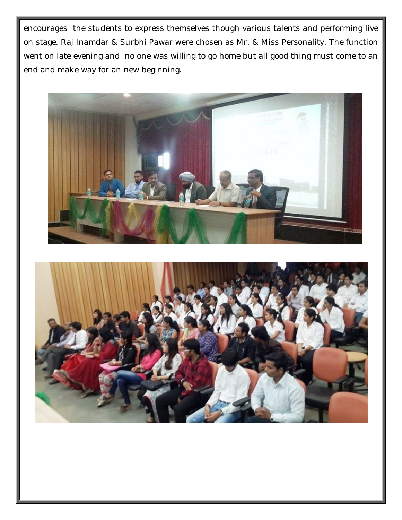encourages the students to express themselves though various talents and performing live on stage. Raj Inamdar & Surbhi Pawar were chosen as Mr. & Miss Personality. The function went on late evening and no one was willing to go home but all good thing must come to an end and make way for an new beginning.